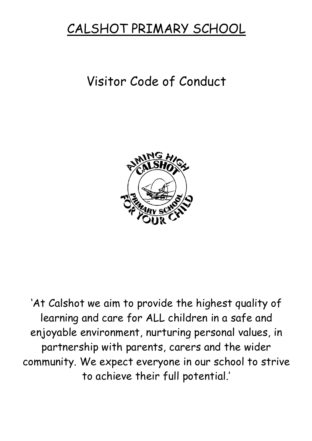# CALSHOT PRIMARY SCHOOL

# Visitor Code of Conduct



'At Calshot we aim to provide the highest quality of learning and care for ALL children in a safe and enjoyable environment, nurturing personal values, in partnership with parents, carers and the wider community. We expect everyone in our school to strive to achieve their full potential.'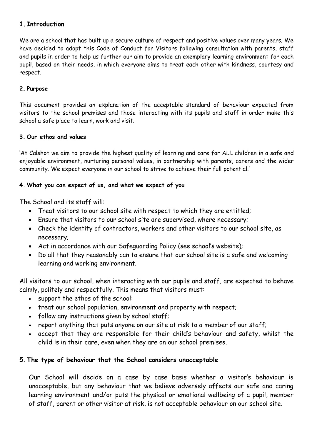#### **1.Introduction**

We are a school that has built up a secure culture of respect and positive values over many years. We have decided to adopt this Code of Conduct for Visitors following consultation with parents, staff and pupils in order to help us further our aim to provide an exemplary learning environment for each pupil, based on their needs, in which everyone aims to treat each other with kindness, courtesy and respect.

#### **2. Purpose**

This document provides an explanation of the acceptable standard of behaviour expected from visitors to the school premises and those interacting with its pupils and staff in order make this school a safe place to learn, work and visit.

#### **3. Our ethos and values**

'At Calshot we aim to provide the highest quality of learning and care for ALL children in a safe and enjoyable environment, nurturing personal values, in partnership with parents, carers and the wider community. We expect everyone in our school to strive to achieve their full potential.'

#### **4. What you can expect of us, and what we expect of you**

The School and its staff will:

- Treat visitors to our school site with respect to which they are entitled;
- Ensure that visitors to our school site are supervised, where necessary;
- Check the identity of contractors, workers and other visitors to our school site, as necessary;
- Act in accordance with our Safeguarding Policy (see school's website);
- Do all that they reasonably can to ensure that our school site is a safe and welcoming learning and working environment.

All visitors to our school, when interacting with our pupils and staff, are expected to behave calmly, politely and respectfully. This means that visitors must:

- support the ethos of the school:
- treat our school population, environment and property with respect;
- follow any instructions given by school staff;
- report anything that puts anyone on our site at risk to a member of our staff;
- accept that they are responsible for their child's behaviour and safety, whilst the child is in their care, even when they are on our school premises.

#### **5.The type of behaviour that the School considers unacceptable**

Our School will decide on a case by case basis whether a visitor's behaviour is unacceptable, but any behaviour that we believe adversely affects our safe and caring learning environment and/or puts the physical or emotional wellbeing of a pupil, member of staff, parent or other visitor at risk, is not acceptable behaviour on our school site.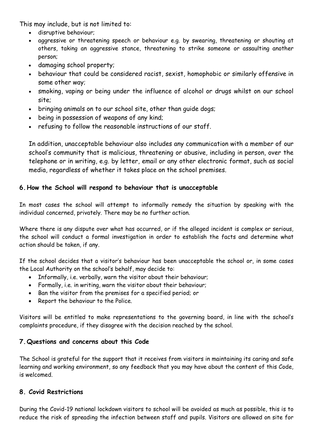This may include, but is not limited to:

- disruptive behaviour;
- aggressive or threatening speech or behaviour e.g. by swearing, threatening or shouting at others, taking an aggressive stance, threatening to strike someone or assaulting another person;
- damaging school property;
- behaviour that could be considered racist, sexist, homophobic or similarly offensive in some other way;
- smoking, vaping or being under the influence of alcohol or drugs whilst on our school site;
- bringing animals on to our school site, other than guide dogs;
- being in possession of weapons of any kind;
- refusing to follow the reasonable instructions of our staff.

In addition, unacceptable behaviour also includes any communication with a member of our school's community that is malicious, threatening or abusive, including in person, over the telephone or in writing, e.g. by letter, email or any other electronic format, such as social media, regardless of whether it takes place on the school premises.

### **6.How the School will respond to behaviour that is unacceptable**

In most cases the school will attempt to informally remedy the situation by speaking with the individual concerned, privately. There may be no further action.

Where there is any dispute over what has occurred, or if the alleged incident is complex or serious, the school will conduct a formal investigation in order to establish the facts and determine what action should be taken, if any.

If the school decides that a visitor's behaviour has been unacceptable the school or, in some cases the Local Authority on the school's behalf, may decide to:

- Informally, i.e. verbally, warn the visitor about their behaviour;
- Formally, i.e. in writing, warn the visitor about their behaviour;
- Ban the visitor from the premises for a specified period; or
- Report the behaviour to the Police.

Visitors will be entitled to make representations to the governing board, in line with the school's complaints procedure, if they disagree with the decision reached by the school.

# **7.Questions and concerns about this Code**

The School is grateful for the support that it receives from visitors in maintaining its caring and safe learning and working environment, so any feedback that you may have about the content of this Code, is welcomed.

#### **8. Covid Restrictions**

During the Covid-19 national lockdown visitors to school will be avoided as much as possible, this is to reduce the risk of spreading the infection between staff and pupils. Visitors are allowed on site for